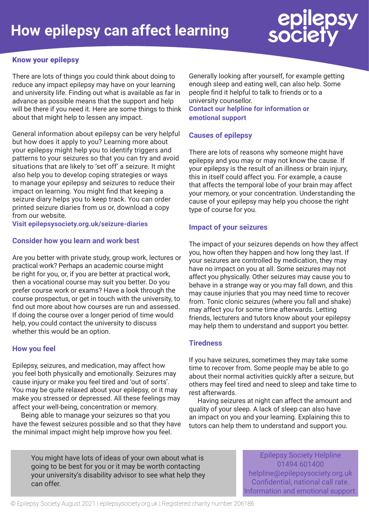# epilepsy<br>society

# Know your epilepsy

There are lots of things you could think about doing to reduce any impact epilepsy may have on your learning and university life. Finding out what is available as far in advance as possible means that the support and help will be there if you need it. Here are some things to think about that might help to lessen any impact.

General information about epilepsy can be very helpful but how does it apply to you? Learning more about your epilepsy might help you to identify triggers and patterns to your seizures so that you can try and avoid situations that are likely to 'set off' a seizure. It might also help you to develop coping strategies or ways to manage your epilepsy and seizures to reduce their impact on learning. You might find that keeping a seizure diary helps you to keep track. You can order printed seizure diaries from us or, download a copy from our website.

**Visit epilepsysociety.org.uk/seizure-diaries**

# **Consider how you learn and work best**

Are you better with private study, group work, lectures or practical work? Perhaps an academic course might be right for you, or, if you are better at practical work, then a vocational course may suit you better. Do you prefer course work or exams? Have a look through the course prospectus, or get in touch with the university, to find out more about how courses are run and assessed. If doing the course over a longer period of time would help, you could contact the university to discuss whether this would be an option.

# **How you feel**

Epilepsy, seizures, and medication, may affect how you feel both physically and emotionally. Seizures may cause injury or make you feel tired and 'out of sorts'. You may be quite relaxed about your epilepsy, or it may make you stressed or depressed. All these feelings may affect your well-being, concentration or memory.

Being able to manage your seizures so that you have the fewest seizures possible and so that they have the minimal impact might help improve how you feel.

Generally looking after yourself, for example getting enough sleep and eating well, can also help. Some people find it helpful to talk to friends or to a university counsellor.

**Contact our helpline for information or emotional support**

# **Causes of epilepsy**

There are lots of reasons why someone might have epilepsy and you may or may not know the cause. If your epilepsy is the result of an illness or brain injury, this in itself could affect you. For example, a cause that affects the temporal lobe of your brain may affect your memory, or your concentration. Understanding the cause of your epilepsy may help you choose the right type of course for you.

### **Impact of your seizures**

The impact of your seizures depends on how they affect you, how often they happen and how long they last. If your seizures are controlled by medication, they may have no impact on you at all. Some seizures may not affect you physically. Other seizures may cause you to behave in a strange way or you may fall down, and this may cause injuries that you may need time to recover from. Tonic clonic seizures (where you fall and shake) may affect you for some time afterwards. Letting friends, lecturers and tutors know about your epilepsy may help them to understand and support you better.

# **Tiredness**

If you have seizures, sometimes they may take some time to recover from. Some people may be able to go about their normal activities quickly after a seizure, but others may feel tired and need to sleep and take time to rest afterwards.

Having seizures at night can affect the amount and quality of your sleep. A lack of sleep can also have an impact on you and your learning. Explaining this to tutors can help them to understand and support you.

You might have lots of ideas of your own about what is going to be best for you or it may be worth contacting your university's disability advisor to see what help they can offer.

Epilepsy Society Helpline 01494 601400 helpline@epilepsysociety.org.uk Confidential, national call rate. Information and emotional support.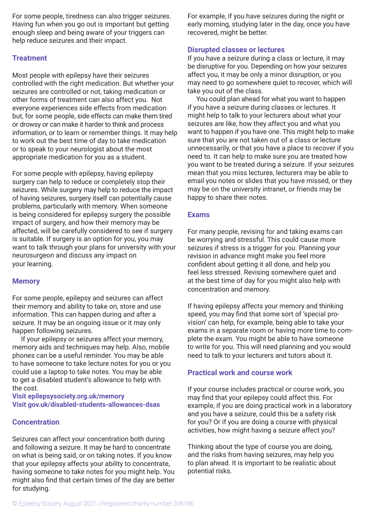For some people, tiredness can also trigger seizures. Having fun when you go out is important but getting enough sleep and being aware of your triggers can help reduce seizures and their impact.

# **Treatment**

Most people with epilepsy have their seizures controlled with the right medication. But whether your seizures are controlled or not, taking medication or other forms of treatment can also affect you. Not everyone experiences side effects from medication but, for some people, side effects can make them tired or drowsy or can make it harder to think and process information, or to learn or remember things. It may help to work out the best time of day to take medication or to speak to your neurologist about the most appropriate medication for you as a student.

For some people with epilepsy, having epilepsy surgery can help to reduce or completely stop their seizures. While surgery may help to reduce the impact of having seizures, surgery itself can potentially cause problems, particularly with memory. When someone is being considered for epilepsy surgery the possible impact of surgery, and how their memory may be affected, will be carefully considered to see if surgery is suitable. If surgery is an option for you, you may want to talk through your plans for university with your neurosurgeon and discuss any impact on your learning.

### **Memory**

For some people, epilepsy and seizures can affect their memory and ability to take on, store and use information. This can happen during and after a seizure. It may be an ongoing issue or it may only happen following seizures.

If your epilepsy or seizures affect your memory, memory aids and techniques may help. Also, mobile phones can be a useful reminder. You may be able to have someone to take lecture notes for you or you could use a laptop to take notes. You may be able to get a disabled student's allowance to help with the cost.

**Visit epilepsysociety.org.uk/memory Visit gov.uk/disabled-students-allowances-dsas**

### **Concentration**

Seizures can affect your concentration both during and following a seizure. It may be hard to concentrate on what is being said, or on taking notes. If you know that your epilepsy affects your ability to concentrate, having someone to take notes for you might help. You might also find that certain times of the day are better for studying.

For example, if you have seizures during the night or early morning, studying later in the day, once you have recovered, might be better.

### **Disrupted classes or lectures**

If you have a seizure during a class or lecture, it may be disruptive for you. Depending on how your seizures affect you, it may be only a minor disruption, or you may need to go somewhere quiet to recover, which will take you out of the class.

You could plan ahead for what you want to happen if you have a seizure during classes or lectures. It might help to talk to your lecturers about what your seizures are like, how they affect you and what you want to happen if you have one. This might help to make sure that you are not taken out of a class or lecture unnecessarily, or that you have a place to recover if you need to. It can help to make sure you are treated how you want to be treated during a seizure. If your seizures mean that you miss lectures, lecturers may be able to email you notes or slides that you have missed, or they may be on the university intranet, or friends may be happy to share their notes.

### **Exams**

For many people, revising for and taking exams can be worrying and stressful. This could cause more seizures if stress is a trigger for you. Planning your revision in advance might make you feel more confident about getting it all done, and help you feel less stressed. Revising somewhere quiet and at the best time of day for you might also help with concentration and memory.

If having epilepsy affects your memory and thinking speed, you may find that some sort of 'special provision' can help, for example, being able to take your exams in a separate room or having more time to complete the exam. You might be able to have someone to write for you. This will need planning and you would need to talk to your lecturers and tutors about it.

# **Practical work and course work**

If your course includes practical or course work, you may find that your epilepsy could affect this. For example, if you are doing practical work in a laboratory and you have a seizure, could this be a safety risk for you? Or if you are doing a course with physical activities, how might having a seizure affect you?

Thinking about the type of course you are doing, and the risks from having seizures, may help you to plan ahead. It is important to be realistic about potential risks.